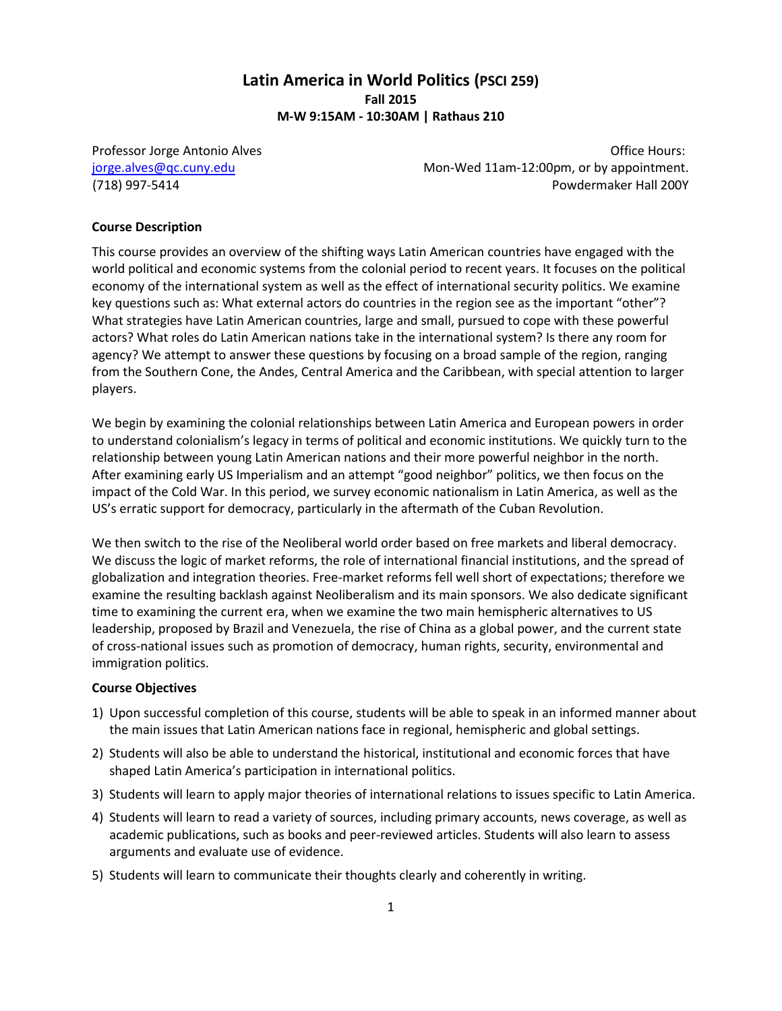# **Latin America in World Politics (PSCI 259) Fall 2015 M-W 9:15AM - 10:30AM | Rathaus 210**

Professor Jorge Antonio Alves **New York 1988** 2012 12:30 No. 2013 [jorge.alves@qc.cuny.edu](mailto:jorge.alves@qc.cuny.edu) Mon-Wed 11am-12:00pm, or by appointment. (718) 997-5414 Powdermaker Hall 200Y

#### **Course Description**

This course provides an overview of the shifting ways Latin American countries have engaged with the world political and economic systems from the colonial period to recent years. It focuses on the political economy of the international system as well as the effect of international security politics. We examine key questions such as: What external actors do countries in the region see as the important "other"? What strategies have Latin American countries, large and small, pursued to cope with these powerful actors? What roles do Latin American nations take in the international system? Is there any room for agency? We attempt to answer these questions by focusing on a broad sample of the region, ranging from the Southern Cone, the Andes, Central America and the Caribbean, with special attention to larger players.

We begin by examining the colonial relationships between Latin America and European powers in order to understand colonialism's legacy in terms of political and economic institutions. We quickly turn to the relationship between young Latin American nations and their more powerful neighbor in the north. After examining early US Imperialism and an attempt "good neighbor" politics, we then focus on the impact of the Cold War. In this period, we survey economic nationalism in Latin America, as well as the US's erratic support for democracy, particularly in the aftermath of the Cuban Revolution.

We then switch to the rise of the Neoliberal world order based on free markets and liberal democracy. We discuss the logic of market reforms, the role of international financial institutions, and the spread of globalization and integration theories. Free-market reforms fell well short of expectations; therefore we examine the resulting backlash against Neoliberalism and its main sponsors. We also dedicate significant time to examining the current era, when we examine the two main hemispheric alternatives to US leadership, proposed by Brazil and Venezuela, the rise of China as a global power, and the current state of cross-national issues such as promotion of democracy, human rights, security, environmental and immigration politics.

#### **Course Objectives**

- 1) Upon successful completion of this course, students will be able to speak in an informed manner about the main issues that Latin American nations face in regional, hemispheric and global settings.
- 2) Students will also be able to understand the historical, institutional and economic forces that have shaped Latin America's participation in international politics.
- 3) Students will learn to apply major theories of international relations to issues specific to Latin America.
- 4) Students will learn to read a variety of sources, including primary accounts, news coverage, as well as academic publications, such as books and peer-reviewed articles. Students will also learn to assess arguments and evaluate use of evidence.
- 5) Students will learn to communicate their thoughts clearly and coherently in writing.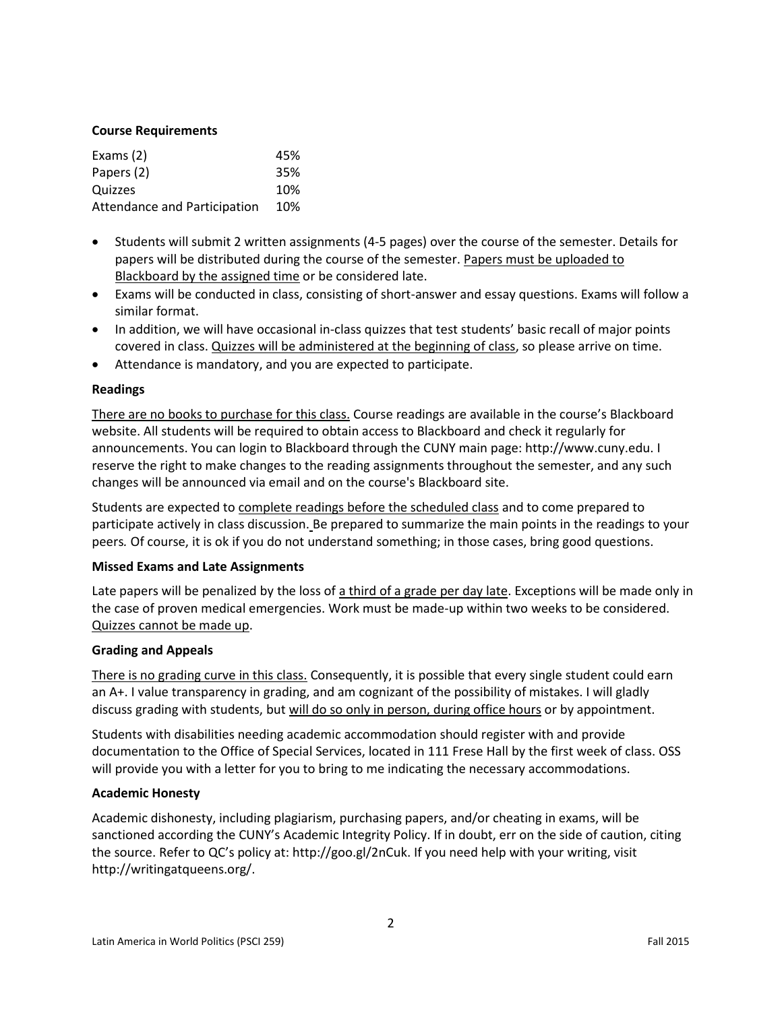## **Course Requirements**

| Exams $(2)$                  | 45% |
|------------------------------|-----|
| Papers (2)                   | 35% |
| Quizzes                      | 10% |
| Attendance and Participation | 10% |

- Students will submit 2 written assignments (4-5 pages) over the course of the semester. Details for papers will be distributed during the course of the semester. Papers must be uploaded to Blackboard by the assigned time or be considered late.
- Exams will be conducted in class, consisting of short-answer and essay questions. Exams will follow a similar format.
- In addition, we will have occasional in-class quizzes that test students' basic recall of major points covered in class. Quizzes will be administered at the beginning of class, so please arrive on time.
- Attendance is mandatory, and you are expected to participate.

# **Readings**

There are no books to purchase for this class. Course readings are available in the course's Blackboard website. All students will be required to obtain access to Blackboard and check it regularly for announcements. You can login to Blackboard through the CUNY main page: http://www.cuny.edu. I reserve the right to make changes to the reading assignments throughout the semester, and any such changes will be announced via email and on the course's Blackboard site.

Students are expected to complete readings before the scheduled class and to come prepared to participate actively in class discussion. Be prepared to summarize the main points in the readings to your peers*.* Of course, it is ok if you do not understand something; in those cases, bring good questions.

## **Missed Exams and Late Assignments**

Late papers will be penalized by the loss of a third of a grade per day late. Exceptions will be made only in the case of proven medical emergencies. Work must be made-up within two weeks to be considered. Quizzes cannot be made up.

## **Grading and Appeals**

There is no grading curve in this class. Consequently, it is possible that every single student could earn an A+. I value transparency in grading, and am cognizant of the possibility of mistakes. I will gladly discuss grading with students, but will do so only in person, during office hours or by appointment.

Students with disabilities needing academic accommodation should register with and provide documentation to the Office of Special Services, located in 111 Frese Hall by the first week of class. OSS will provide you with a letter for you to bring to me indicating the necessary accommodations.

## **Academic Honesty**

Academic dishonesty, including plagiarism, purchasing papers, and/or cheating in exams, will be sanctioned according the CUNY's Academic Integrity Policy. If in doubt, err on the side of caution, citing the source. Refer to QC's policy at: http://goo.gl/2nCuk. If you need help with your writing, visit http://writingatqueens.org/.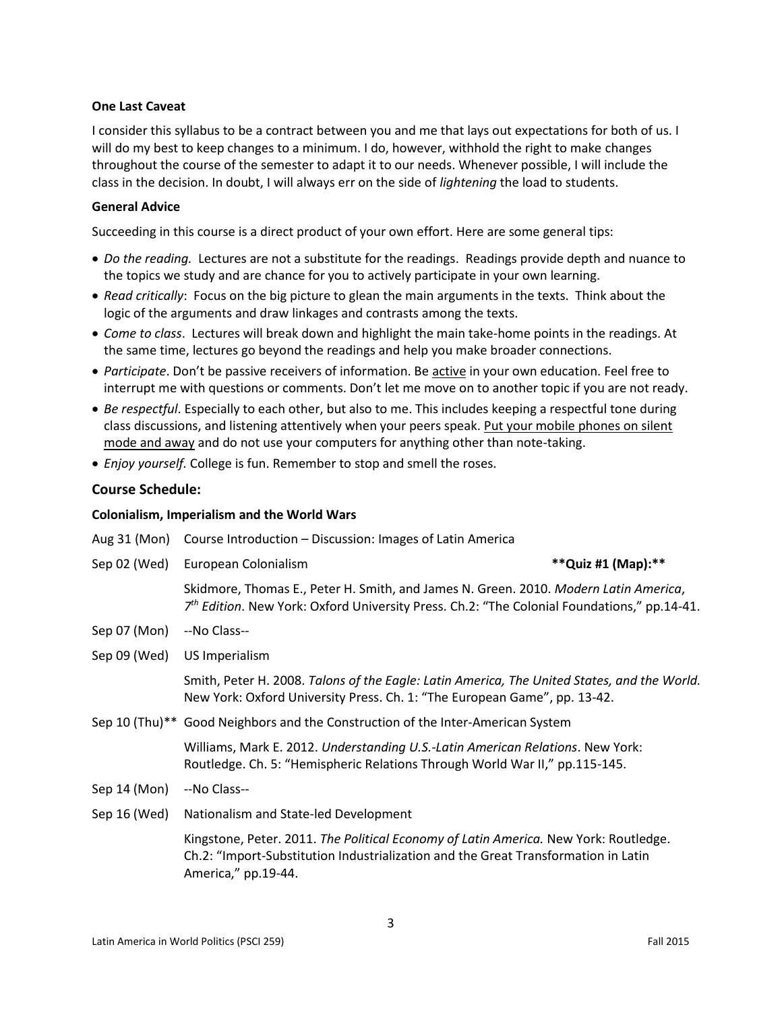## **One Last Caveat**

I consider this syllabus to be a contract between you and me that lays out expectations for both of us. I will do my best to keep changes to a minimum. I do, however, withhold the right to make changes throughout the course of the semester to adapt it to our needs. Whenever possible, I will include the class in the decision. In doubt, I will always err on the side of *lightening* the load to students.

### **General Advice**

Succeeding in this course is a direct product of your own effort. Here are some general tips:

- *Do the reading.* Lectures are not a substitute for the readings. Readings provide depth and nuance to the topics we study and are chance for you to actively participate in your own learning.
- *Read critically*: Focus on the big picture to glean the main arguments in the texts. Think about the logic of the arguments and draw linkages and contrasts among the texts.
- *Come to class*. Lectures will break down and highlight the main take-home points in the readings. At the same time, lectures go beyond the readings and help you make broader connections.
- *Participate*. Don't be passive receivers of information. Be active in your own education. Feel free to interrupt me with questions or comments. Don't let me move on to another topic if you are not ready.
- *Be respectful*. Especially to each other, but also to me. This includes keeping a respectful tone during class discussions, and listening attentively when your peers speak. Put your mobile phones on silent mode and away and do not use your computers for anything other than note-taking.
- *Enjoy yourself.* College is fun. Remember to stop and smell the roses.

### **Course Schedule:**

#### **Colonialism, Imperialism and the World Wars**

| Aug 31 (Mon) | Course Introduction - Discussion: Images of Latin America                                                                                                                                         |                     |
|--------------|---------------------------------------------------------------------------------------------------------------------------------------------------------------------------------------------------|---------------------|
| Sep 02 (Wed) | European Colonialism                                                                                                                                                                              | **Quiz #1 (Map): ** |
|              | Skidmore, Thomas E., Peter H. Smith, and James N. Green. 2010. Modern Latin America,<br>7 <sup>th</sup> Edition. New York: Oxford University Press. Ch.2: "The Colonial Foundations," pp.14-41.   |                     |
| Sep 07 (Mon) | --No Class--                                                                                                                                                                                      |                     |
| Sep 09 (Wed) | US Imperialism                                                                                                                                                                                    |                     |
|              | Smith, Peter H. 2008. Talons of the Eagle: Latin America, The United States, and the World.<br>New York: Oxford University Press. Ch. 1: "The European Game", pp. 13-42.                          |                     |
|              | Sep 10 (Thu)** Good Neighbors and the Construction of the Inter-American System                                                                                                                   |                     |
|              | Williams, Mark E. 2012. Understanding U.S.-Latin American Relations. New York:<br>Routledge. Ch. 5: "Hemispheric Relations Through World War II," pp.115-145.                                     |                     |
| Sep 14 (Mon) | --No Class--                                                                                                                                                                                      |                     |
| Sep 16 (Wed) | Nationalism and State-led Development                                                                                                                                                             |                     |
|              | Kingstone, Peter. 2011. The Political Economy of Latin America. New York: Routledge.<br>Ch.2: "Import-Substitution Industrialization and the Great Transformation in Latin<br>America," pp.19-44. |                     |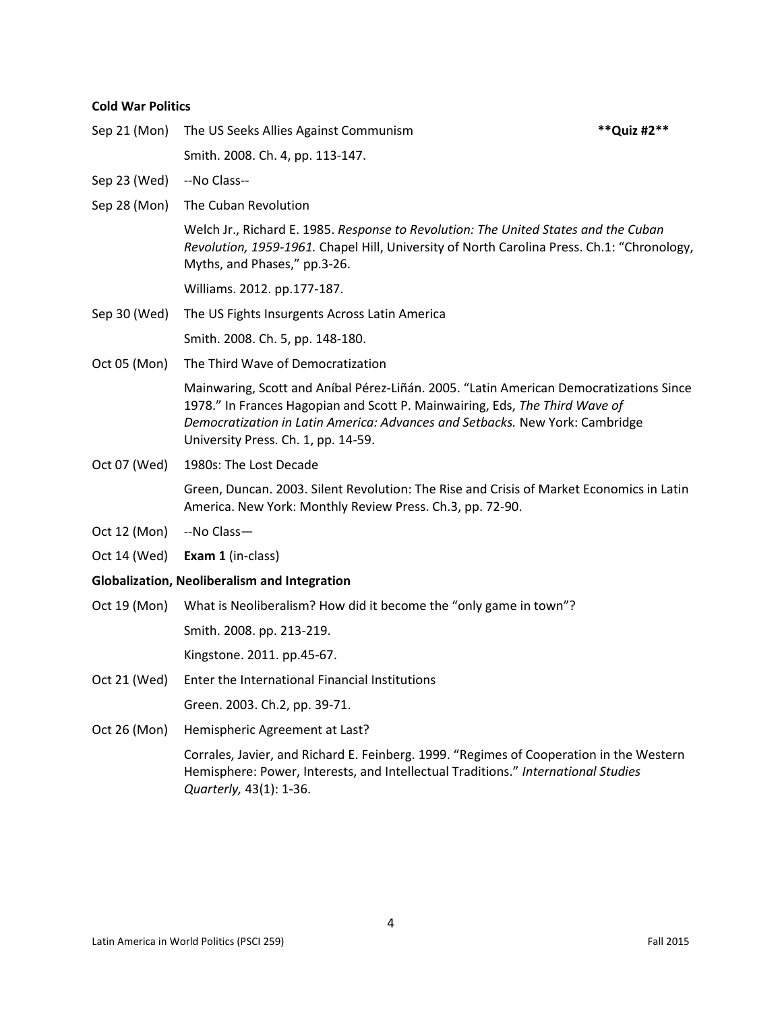#### **Cold War Politics**

Sep 21 (Mon) The US Seeks Allies Against Communism **\*\*Quiz #2\*\***

Smith. 2008. Ch. 4, pp. 113-147.

- Sep 23 (Wed) --No Class--
- Sep 28 (Mon) The Cuban Revolution

Welch Jr., Richard E. 1985. *Response to Revolution: The United States and the Cuban Revolution, 1959-1961.* Chapel Hill, University of North Carolina Press. Ch.1: "Chronology, Myths, and Phases," pp.3-26.

Williams. 2012. pp.177-187.

Sep 30 (Wed) The US Fights Insurgents Across Latin America

Smith. 2008. Ch. 5, pp. 148-180.

Oct 05 (Mon) The Third Wave of Democratization

Mainwaring, Scott and Aníbal Pérez-Liñán. 2005. "Latin American Democratizations Since 1978." In Frances Hagopian and Scott P. Mainwairing, Eds, *The Third Wave of Democratization in Latin America: Advances and Setbacks.* New York: Cambridge University Press. Ch. 1, pp. 14-59.

Oct 07 (Wed) 1980s: The Lost Decade

Green, Duncan. 2003. Silent Revolution: The Rise and Crisis of Market Economics in Latin America. New York: Monthly Review Press. Ch.3, pp. 72-90.

- Oct 12 (Mon) --No Class-
- Oct 14 (Wed) **Exam 1** (in-class)

#### **Globalization, Neoliberalism and Integration**

Oct 19 (Mon) What is Neoliberalism? How did it become the "only game in town"?

Smith. 2008. pp. 213-219.

Kingstone. 2011. pp.45-67.

Oct 21 (Wed) Enter the International Financial Institutions

Green. 2003. Ch.2, pp. 39-71.

Oct 26 (Mon) Hemispheric Agreement at Last?

Corrales, Javier, and Richard E. Feinberg. 1999. "Regimes of Cooperation in the Western Hemisphere: Power, Interests, and Intellectual Traditions." *International Studies Quarterly,* 43(1): 1-36.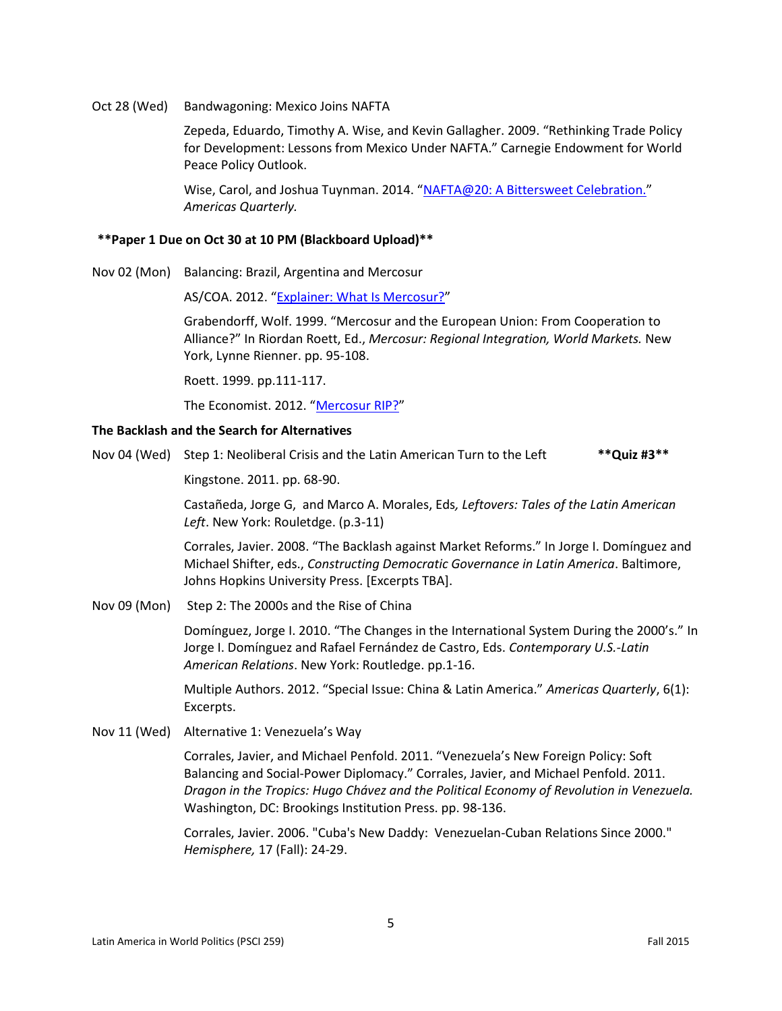Oct 28 (Wed) Bandwagoning: Mexico Joins NAFTA

Zepeda, Eduardo, Timothy A. Wise, and Kevin Gallagher. 2009. "Rethinking Trade Policy for Development: Lessons from Mexico Under NAFTA." Carnegie Endowment for World Peace Policy Outlook.

Wise, Carol, and Joshua Tuynman. 2014. "[NAFTA@20: A Bittersweet Celebration.](http://www.americasquarterly.org/content/nafta20-bittersweet-celebration)" *Americas Quarterly.*

#### **\*\*Paper 1 Due on Oct 30 at 10 PM (Blackboard Upload)\*\***

Nov 02 (Mon) Balancing: Brazil, Argentina and Mercosur

AS/COA. 2012. "[Explainer: What Is Mercosur?](http://www.as-coa.org/articles/explainer-what-mercosur-0)"

Grabendorff, Wolf. 1999. "Mercosur and the European Union: From Cooperation to Alliance?" In Riordan Roett, Ed., *Mercosur: Regional Integration, World Markets.* New York, Lynne Rienner. pp. 95-108.

Roett. 1999. pp.111-117.

The Economist. 2012. "[Mercosur RIP?](http://www.economist.com/node/21558609)"

#### **The Backlash and the Search for Alternatives**

Nov 04 (Wed) Step 1: Neoliberal Crisis and the Latin American Turn to the Left **\*\*Quiz #3\*\***

Kingstone. 2011. pp. 68-90.

Castañeda, Jorge G, and Marco A. Morales, Eds*, Leftovers: Tales of the Latin American Left*. New York: Rouletdge. (p.3-11)

Corrales, Javier. 2008. "The Backlash against Market Reforms." In Jorge I. Domínguez and Michael Shifter, eds., *Constructing Democratic Governance in Latin America*. Baltimore, Johns Hopkins University Press. [Excerpts TBA].

Nov 09 (Mon) Step 2: The 2000s and the Rise of China

Domínguez, Jorge I. 2010. "The Changes in the International System During the 2000's." In Jorge I. Domínguez and Rafael Fernández de Castro, Eds. *Contemporary U.S.-Latin American Relations*. New York: Routledge. pp.1-16.

Multiple Authors. 2012. "Special Issue: China & Latin America." *Americas Quarterly*, 6(1): Excerpts.

Nov 11 (Wed) Alternative 1: Venezuela's Way

Corrales, Javier, and Michael Penfold. 2011. "Venezuela's New Foreign Policy: Soft Balancing and Social-Power Diplomacy." Corrales, Javier, and Michael Penfold. 2011. *Dragon in the Tropics: Hugo Chávez and the Political Economy of Revolution in Venezuela.* Washington, DC: Brookings Institution Press. pp. 98-136.

Corrales, Javier. 2006. "Cuba's New Daddy: Venezuelan-Cuban Relations Since 2000." *Hemisphere,* 17 (Fall): 24-29.